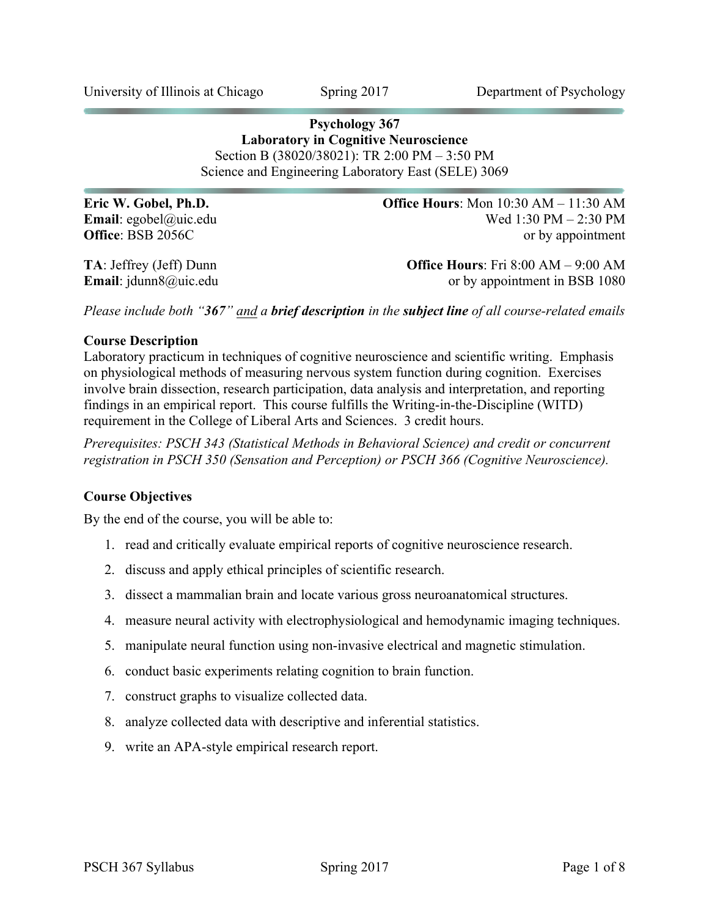**Psychology 367 Laboratory in Cognitive Neuroscience** Section B (38020/38021): TR 2:00 PM – 3:50 PM Science and Engineering Laboratory East (SELE) 3069

**Eric W. Gobel, Ph.D. Office Hours**: Mon 10:30 AM – 11:30 AM **Email**: egobel@uic.edu Wed 1:30 PM – 2:30 PM **Office**: BSB 2056C or by appointment

**TA**: Jeffrey (Jeff) Dunn **Office Hours**: Fri 8:00 AM – 9:00 AM **Email**: jdunn8@uic.edu or by appointment in BSB 1080 or by appointment in BSB 1080

*Please include both "367" and a brief description in the subject line of all course-related emails*

#### **Course Description**

Laboratory practicum in techniques of cognitive neuroscience and scientific writing. Emphasis on physiological methods of measuring nervous system function during cognition. Exercises involve brain dissection, research participation, data analysis and interpretation, and reporting findings in an empirical report. This course fulfills the Writing-in-the-Discipline (WITD) requirement in the College of Liberal Arts and Sciences. 3 credit hours.

*Prerequisites: PSCH 343 (Statistical Methods in Behavioral Science) and credit or concurrent registration in PSCH 350 (Sensation and Perception) or PSCH 366 (Cognitive Neuroscience).*

### **Course Objectives**

By the end of the course, you will be able to:

- 1. read and critically evaluate empirical reports of cognitive neuroscience research.
- 2. discuss and apply ethical principles of scientific research.
- 3. dissect a mammalian brain and locate various gross neuroanatomical structures.
- 4. measure neural activity with electrophysiological and hemodynamic imaging techniques.
- 5. manipulate neural function using non-invasive electrical and magnetic stimulation.
- 6. conduct basic experiments relating cognition to brain function.
- 7. construct graphs to visualize collected data.
- 8. analyze collected data with descriptive and inferential statistics.
- 9. write an APA-style empirical research report.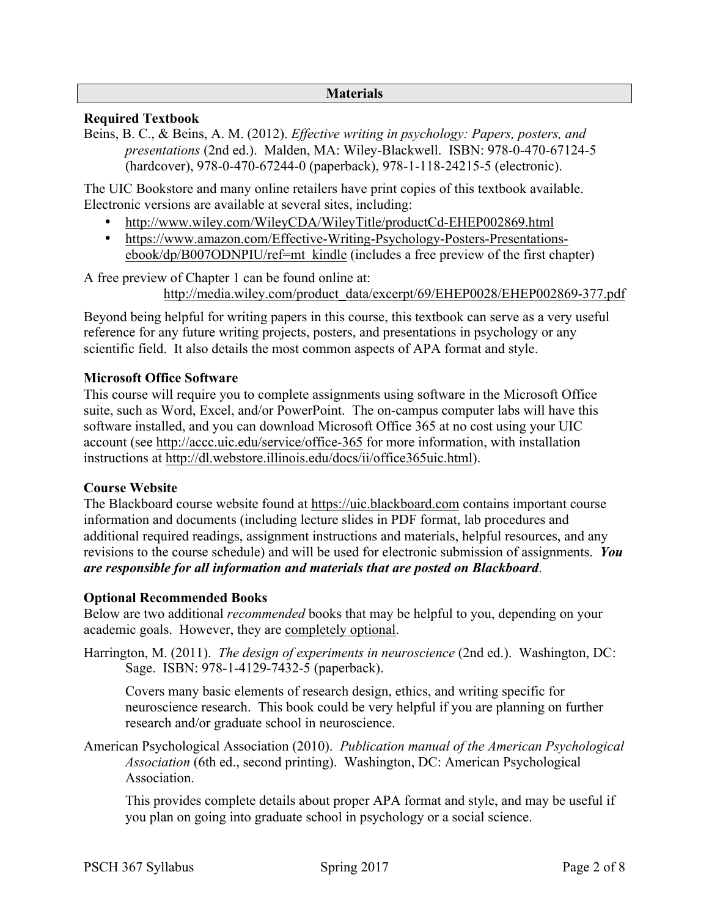#### **Materials**

# **Required Textbook**

Beins, B. C., & Beins, A. M. (2012). *Effective writing in psychology: Papers, posters, and presentations* (2nd ed.). Malden, MA: Wiley-Blackwell. ISBN: 978-0-470-67124-5 (hardcover), 978-0-470-67244-0 (paperback), 978-1-118-24215-5 (electronic).

The UIC Bookstore and many online retailers have print copies of this textbook available. Electronic versions are available at several sites, including:

- http://www.wiley.com/WileyCDA/WileyTitle/productCd-EHEP002869.html
- https://www.amazon.com/Effective-Writing-Psychology-Posters-Presentationsebook/dp/B007ODNPIU/ref=mt\_kindle (includes a free preview of the first chapter)

A free preview of Chapter 1 can be found online at:

http://media.wiley.com/product\_data/excerpt/69/EHEP0028/EHEP002869-377.pdf

Beyond being helpful for writing papers in this course, this textbook can serve as a very useful reference for any future writing projects, posters, and presentations in psychology or any scientific field. It also details the most common aspects of APA format and style.

# **Microsoft Office Software**

This course will require you to complete assignments using software in the Microsoft Office suite, such as Word, Excel, and/or PowerPoint. The on-campus computer labs will have this software installed, and you can download Microsoft Office 365 at no cost using your UIC account (see http://accc.uic.edu/service/office-365 for more information, with installation instructions at http://dl.webstore.illinois.edu/docs/ii/office365uic.html).

#### **Course Website**

The Blackboard course website found at https://uic.blackboard.com contains important course information and documents (including lecture slides in PDF format, lab procedures and additional required readings, assignment instructions and materials, helpful resources, and any revisions to the course schedule) and will be used for electronic submission of assignments. *You are responsible for all information and materials that are posted on Blackboard*.

#### **Optional Recommended Books**

Below are two additional *recommended* books that may be helpful to you, depending on your academic goals. However, they are completely optional.

Harrington, M. (2011). *The design of experiments in neuroscience* (2nd ed.). Washington, DC: Sage. ISBN: 978-1-4129-7432-5 (paperback).

Covers many basic elements of research design, ethics, and writing specific for neuroscience research. This book could be very helpful if you are planning on further research and/or graduate school in neuroscience.

American Psychological Association (2010). *Publication manual of the American Psychological Association* (6th ed., second printing). Washington, DC: American Psychological Association.

This provides complete details about proper APA format and style, and may be useful if you plan on going into graduate school in psychology or a social science.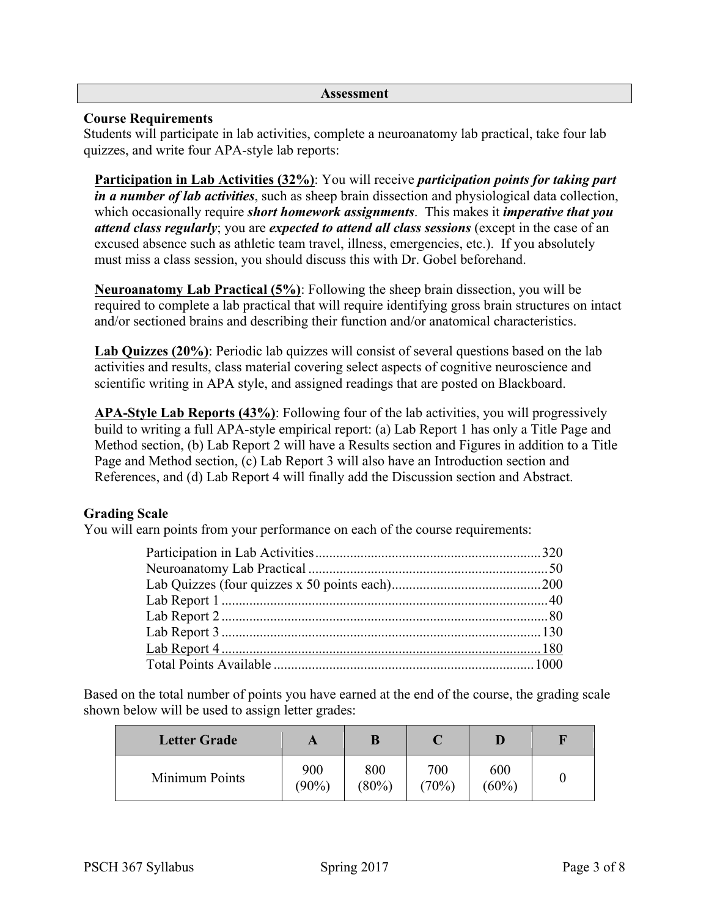#### **Assessment**

### **Course Requirements**

Students will participate in lab activities, complete a neuroanatomy lab practical, take four lab quizzes, and write four APA-style lab reports:

**Participation in Lab Activities (32%)**: You will receive *participation points for taking part in a number of lab activities*, such as sheep brain dissection and physiological data collection, which occasionally require *short homework assignments*. This makes it *imperative that you attend class regularly*; you are *expected to attend all class sessions* (except in the case of an excused absence such as athletic team travel, illness, emergencies, etc.). If you absolutely must miss a class session, you should discuss this with Dr. Gobel beforehand.

**Neuroanatomy Lab Practical (5%)**: Following the sheep brain dissection, you will be required to complete a lab practical that will require identifying gross brain structures on intact and/or sectioned brains and describing their function and/or anatomical characteristics.

**Lab Quizzes (20%)**: Periodic lab quizzes will consist of several questions based on the lab activities and results, class material covering select aspects of cognitive neuroscience and scientific writing in APA style, and assigned readings that are posted on Blackboard.

**APA-Style Lab Reports (43%)**: Following four of the lab activities, you will progressively build to writing a full APA-style empirical report: (a) Lab Report 1 has only a Title Page and Method section, (b) Lab Report 2 will have a Results section and Figures in addition to a Title Page and Method section, (c) Lab Report 3 will also have an Introduction section and References, and (d) Lab Report 4 will finally add the Discussion section and Abstract.

# **Grading Scale**

You will earn points from your performance on each of the course requirements:

Based on the total number of points you have earned at the end of the course, the grading scale shown below will be used to assign letter grades:

| <b>Letter Grade</b> | A               | B               |              |                 |  |
|---------------------|-----------------|-----------------|--------------|-----------------|--|
| Minimum Points      | 900<br>$(90\%)$ | 800<br>$(80\%)$ | 700<br>(70%) | 600<br>$(60\%)$ |  |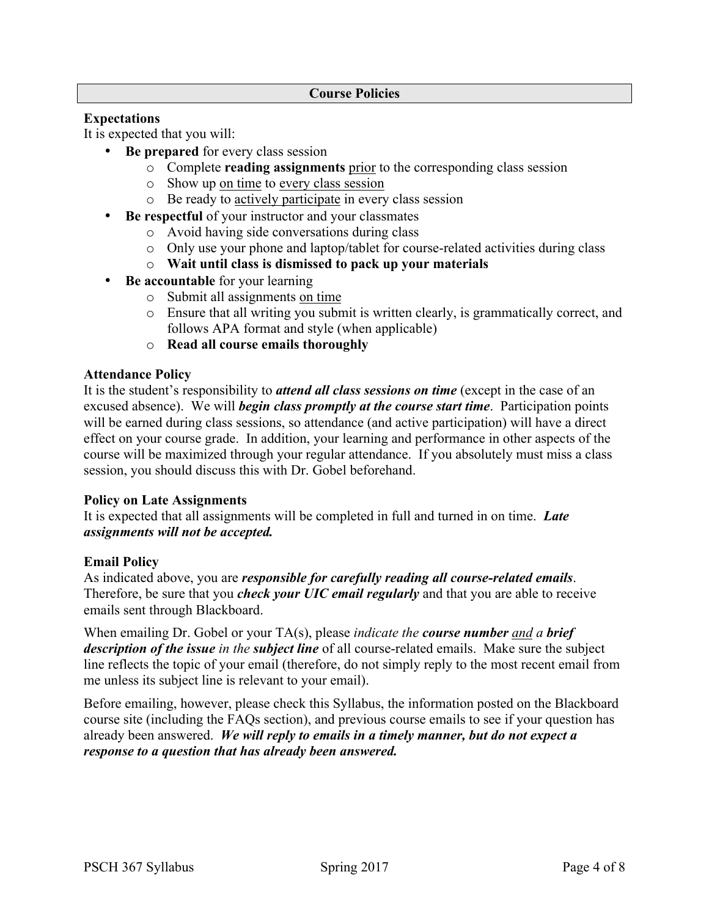# **Expectations**

It is expected that you will:

- **Be prepared** for every class session
	- o Complete **reading assignments** prior to the corresponding class session
	- o Show up on time to every class session
	- o Be ready to actively participate in every class session
- **Be respectful** of your instructor and your classmates
	- o Avoid having side conversations during class
	- o Only use your phone and laptop/tablet for course-related activities during class
	- o **Wait until class is dismissed to pack up your materials**
- **Be accountable** for your learning
	- o Submit all assignments on time
	- o Ensure that all writing you submit is written clearly, is grammatically correct, and follows APA format and style (when applicable)
	- o **Read all course emails thoroughly**

#### **Attendance Policy**

It is the student's responsibility to *attend all class sessions on time* (except in the case of an excused absence). We will *begin class promptly at the course start time*. Participation points will be earned during class sessions, so attendance (and active participation) will have a direct effect on your course grade. In addition, your learning and performance in other aspects of the course will be maximized through your regular attendance. If you absolutely must miss a class session, you should discuss this with Dr. Gobel beforehand.

#### **Policy on Late Assignments**

It is expected that all assignments will be completed in full and turned in on time. *Late assignments will not be accepted.*

#### **Email Policy**

As indicated above, you are *responsible for carefully reading all course-related emails*. Therefore, be sure that you *check your UIC email regularly* and that you are able to receive emails sent through Blackboard.

When emailing Dr. Gobel or your TA(s), please *indicate the course number and a brief description of the issue in the subject line* of all course-related emails. Make sure the subject line reflects the topic of your email (therefore, do not simply reply to the most recent email from me unless its subject line is relevant to your email).

Before emailing, however, please check this Syllabus, the information posted on the Blackboard course site (including the FAQs section), and previous course emails to see if your question has already been answered. *We will reply to emails in a timely manner, but do not expect a response to a question that has already been answered.*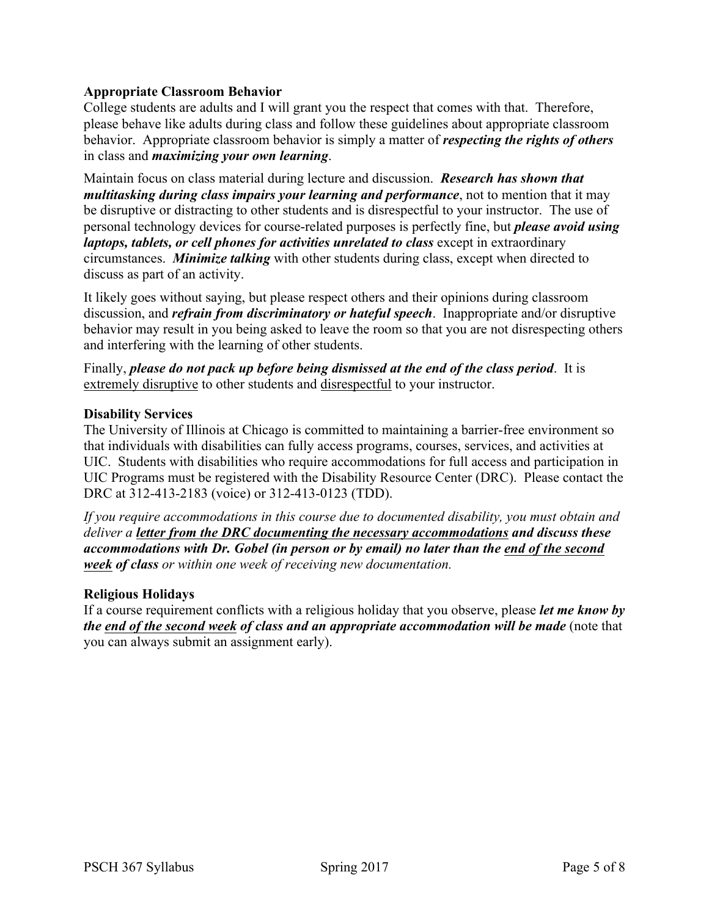# **Appropriate Classroom Behavior**

College students are adults and I will grant you the respect that comes with that. Therefore, please behave like adults during class and follow these guidelines about appropriate classroom behavior. Appropriate classroom behavior is simply a matter of *respecting the rights of others* in class and *maximizing your own learning*.

Maintain focus on class material during lecture and discussion. *Research has shown that multitasking during class impairs your learning and performance*, not to mention that it may be disruptive or distracting to other students and is disrespectful to your instructor. The use of personal technology devices for course-related purposes is perfectly fine, but *please avoid using laptops, tablets, or cell phones for activities unrelated to class* except in extraordinary circumstances. *Minimize talking* with other students during class, except when directed to discuss as part of an activity.

It likely goes without saying, but please respect others and their opinions during classroom discussion, and *refrain from discriminatory or hateful speech*. Inappropriate and/or disruptive behavior may result in you being asked to leave the room so that you are not disrespecting others and interfering with the learning of other students.

Finally, *please do not pack up before being dismissed at the end of the class period*. It is extremely disruptive to other students and disrespectful to your instructor.

#### **Disability Services**

The University of Illinois at Chicago is committed to maintaining a barrier-free environment so that individuals with disabilities can fully access programs, courses, services, and activities at UIC. Students with disabilities who require accommodations for full access and participation in UIC Programs must be registered with the Disability Resource Center (DRC). Please contact the DRC at 312-413-2183 (voice) or 312-413-0123 (TDD).

*If you require accommodations in this course due to documented disability, you must obtain and deliver a letter from the DRC documenting the necessary accommodations and discuss these accommodations with Dr. Gobel (in person or by email) no later than the end of the second week of class or within one week of receiving new documentation.*

#### **Religious Holidays**

If a course requirement conflicts with a religious holiday that you observe, please *let me know by the end of the second week of class and an appropriate accommodation will be made* (note that you can always submit an assignment early).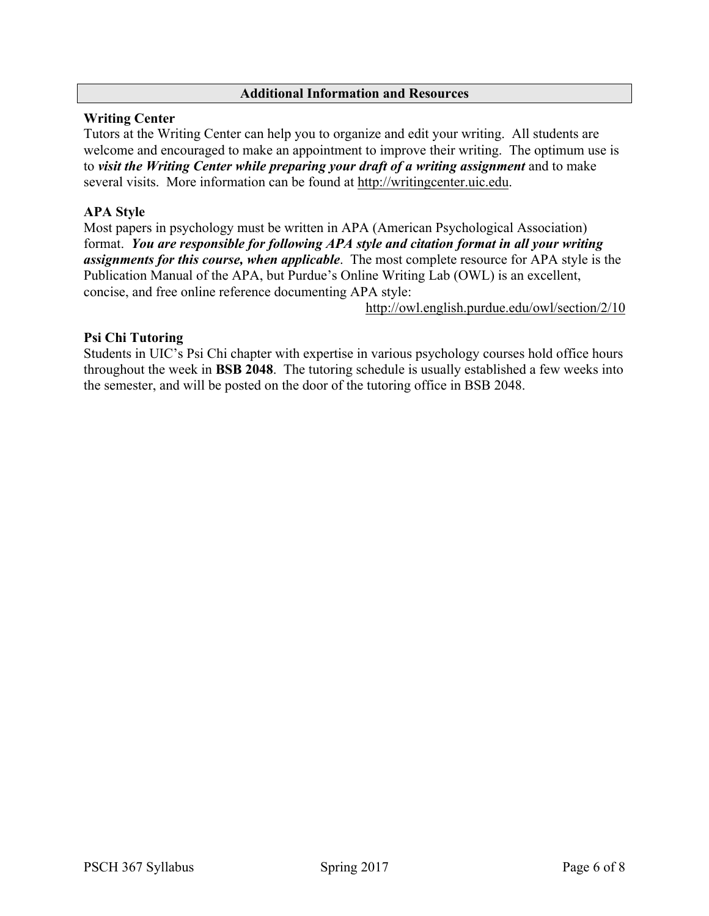### **Additional Information and Resources**

### **Writing Center**

Tutors at the Writing Center can help you to organize and edit your writing. All students are welcome and encouraged to make an appointment to improve their writing. The optimum use is to *visit the Writing Center while preparing your draft of a writing assignment* and to make several visits. More information can be found at http://writingcenter.uic.edu.

# **APA Style**

Most papers in psychology must be written in APA (American Psychological Association) format. *You are responsible for following APA style and citation format in all your writing assignments for this course, when applicable*. The most complete resource for APA style is the Publication Manual of the APA, but Purdue's Online Writing Lab (OWL) is an excellent, concise, and free online reference documenting APA style:

http://owl.english.purdue.edu/owl/section/2/10

# **Psi Chi Tutoring**

Students in UIC's Psi Chi chapter with expertise in various psychology courses hold office hours throughout the week in **BSB 2048**. The tutoring schedule is usually established a few weeks into the semester, and will be posted on the door of the tutoring office in BSB 2048.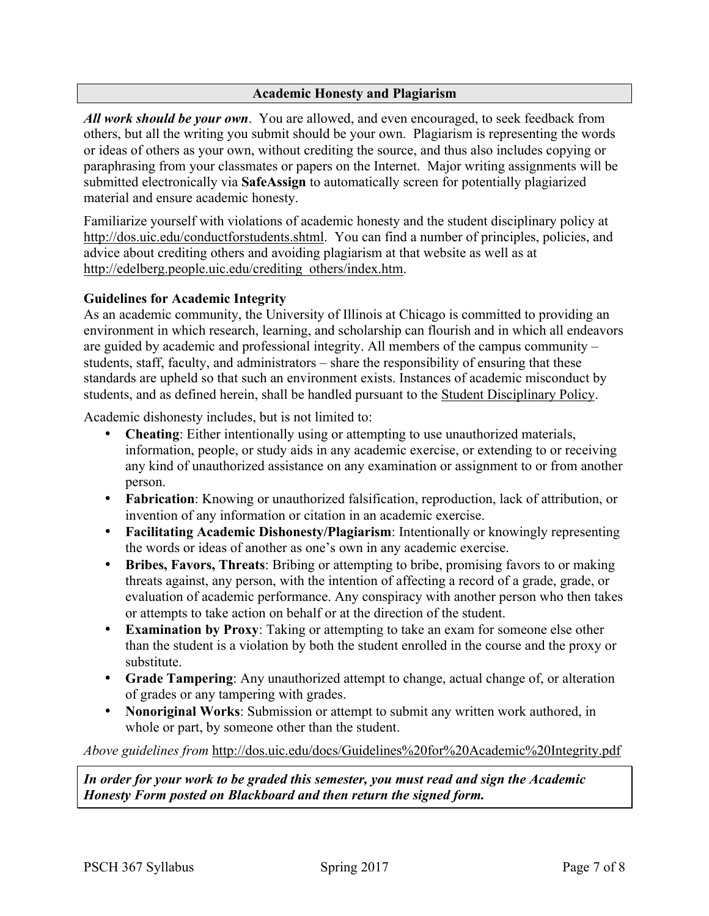# **Academic Honesty and Plagiarism**

*All work should be your own*. You are allowed, and even encouraged, to seek feedback from others, but all the writing you submit should be your own. Plagiarism is representing the words or ideas of others as your own, without crediting the source, and thus also includes copying or paraphrasing from your classmates or papers on the Internet. Major writing assignments will be submitted electronically via **SafeAssign** to automatically screen for potentially plagiarized material and ensure academic honesty.

Familiarize yourself with violations of academic honesty and the student disciplinary policy at http://dos.uic.edu/conductforstudents.shtml. You can find a number of principles, policies, and advice about crediting others and avoiding plagiarism at that website as well as at http://edelberg.people.uic.edu/crediting\_others/index.htm.

# **Guidelines for Academic Integrity**

As an academic community, the University of Illinois at Chicago is committed to providing an environment in which research, learning, and scholarship can flourish and in which all endeavors are guided by academic and professional integrity. All members of the campus community – students, staff, faculty, and administrators – share the responsibility of ensuring that these standards are upheld so that such an environment exists. Instances of academic misconduct by students, and as defined herein, shall be handled pursuant to the Student Disciplinary Policy.

Academic dishonesty includes, but is not limited to:

- **Cheating**: Either intentionally using or attempting to use unauthorized materials, information, people, or study aids in any academic exercise, or extending to or receiving any kind of unauthorized assistance on any examination or assignment to or from another person.
- **Fabrication**: Knowing or unauthorized falsification, reproduction, lack of attribution, or invention of any information or citation in an academic exercise.
- **Facilitating Academic Dishonesty/Plagiarism**: Intentionally or knowingly representing the words or ideas of another as one's own in any academic exercise.
- **Bribes, Favors, Threats**: Bribing or attempting to bribe, promising favors to or making threats against, any person, with the intention of affecting a record of a grade, grade, or evaluation of academic performance. Any conspiracy with another person who then takes or attempts to take action on behalf or at the direction of the student.
- **Examination by Proxy**: Taking or attempting to take an exam for someone else other than the student is a violation by both the student enrolled in the course and the proxy or substitute.
- **Grade Tampering**: Any unauthorized attempt to change, actual change of, or alteration of grades or any tampering with grades.
- **Nonoriginal Works**: Submission or attempt to submit any written work authored, in whole or part, by someone other than the student.

*Above guidelines from* http://dos.uic.edu/docs/Guidelines%20for%20Academic%20Integrity.pdf

*In order for your work to be graded this semester, you must read and sign the Academic Honesty Form posted on Blackboard and then return the signed form.*